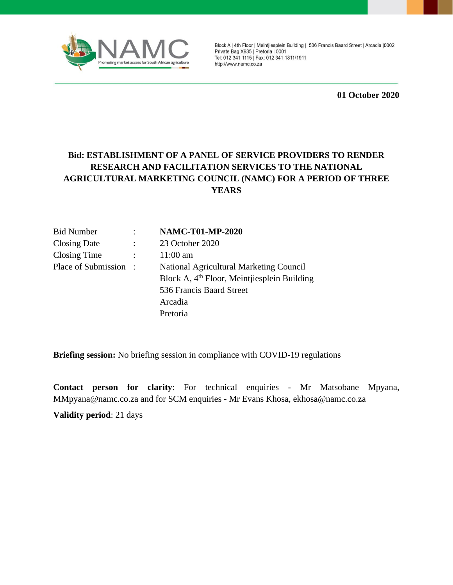

Block A | 4th Floor | Meintjiesplein Building | 536 Francis Baard Street | Arcadia | 0002 Private Bag X935 | Pretoria | 0001 Tel: 012 341 1115 | Fax: 012 341 1811/1911 http://www.namc.co.za

**01 October 2020**

## **Bid: ESTABLISHMENT OF A PANEL OF SERVICE PROVIDERS TO RENDER RESEARCH AND FACILITATION SERVICES TO THE NATIONAL AGRICULTURAL MARKETING COUNCIL (NAMC) FOR A PERIOD OF THREE YEARS**

| <b>Bid Number</b>    | <b>NAMC-T01-MP-2020</b>                       |
|----------------------|-----------------------------------------------|
| Closing Date         | 23 October 2020                               |
| Closing Time         | $11:00$ am                                    |
| Place of Submission: | National Agricultural Marketing Council       |
|                      | Block A, $4th$ Floor, Meintjiesplein Building |
|                      | 536 Francis Baard Street                      |
|                      | Arcadia                                       |
|                      | Pretoria                                      |

**Briefing session:** No briefing session in compliance with COVID-19 regulations

**Contact person for clarity**: For technical enquiries - Mr Matsobane Mpyana, [MMpyana@namc.co.za](mailto:MMpyana@namc.co.za) and for SCM enquiries - Mr Evans Khosa, ekhosa@namc.co.za

**Validity period**: 21 days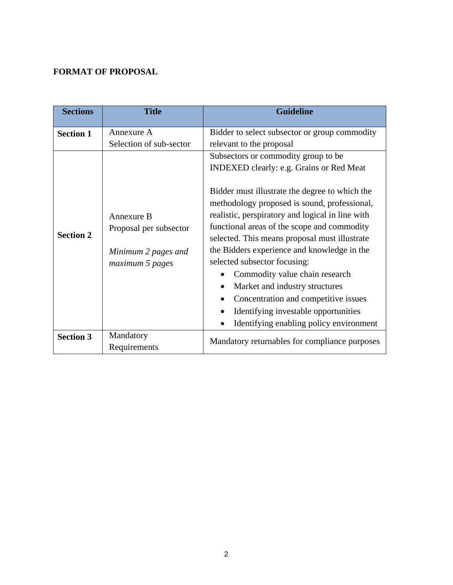## **FORMAT OF PROPOSAL**

| <b>Sections</b>  | <b>Title</b>                                                                   | <b>Guideline</b>                                                                                                                                                                                                                                                                                                                                                                                                                                                                                                                  |  |
|------------------|--------------------------------------------------------------------------------|-----------------------------------------------------------------------------------------------------------------------------------------------------------------------------------------------------------------------------------------------------------------------------------------------------------------------------------------------------------------------------------------------------------------------------------------------------------------------------------------------------------------------------------|--|
| <b>Section 1</b> | Annexure A<br>Selection of sub-sector                                          | Bidder to select subsector or group commodity<br>relevant to the proposal                                                                                                                                                                                                                                                                                                                                                                                                                                                         |  |
| <b>Section 2</b> | Annexure B<br>Proposal per subsector<br>Minimum 2 pages and<br>maximum 5 pages | Subsectors or commodity group to be.<br>INDEXED clearly: e.g. Grains or Red Meat<br>Bidder must illustrate the degree to which the<br>methodology proposed is sound, professional,<br>realistic, perspiratory and logical in line with<br>functional areas of the scope and commodity<br>selected. This means proposal must illustrate<br>the Bidders experience and knowledge in the<br>selected subsector focusing:<br>Commodity value chain research<br>Market and industry structures<br>Concentration and competitive issues |  |
|                  |                                                                                | Identifying investable opportunities<br>Identifying enabling policy environment                                                                                                                                                                                                                                                                                                                                                                                                                                                   |  |
| <b>Section 3</b> | Mandatory<br>Requirements                                                      | Mandatory returnables for compliance purposes                                                                                                                                                                                                                                                                                                                                                                                                                                                                                     |  |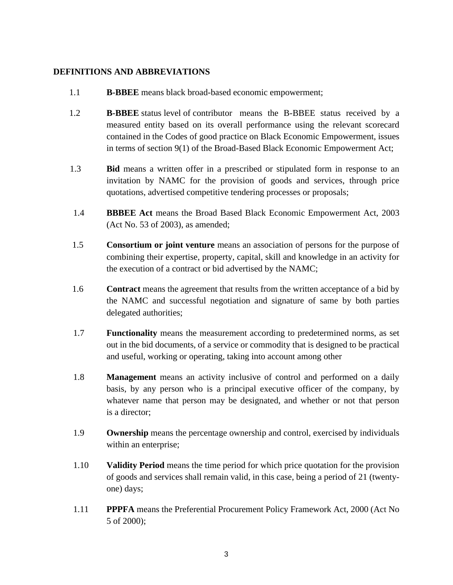### **DEFINITIONS AND ABBREVIATIONS**

- 1.1 **B-BBEE** means black broad-based economic empowerment;
- 1.2 **B-BBEE** status level of contributor means the B-BBEE status received by a measured entity based on its overall performance using the relevant scorecard contained in the Codes of good practice on Black Economic Empowerment, issues in terms of section 9(1) of the Broad-Based Black Economic Empowerment Act;
- 1.3 **Bid** means a written offer in a prescribed or stipulated form in response to an invitation by NAMC for the provision of goods and services, through price quotations, advertised competitive tendering processes or proposals;
- 1.4 **BBBEE Act** means the Broad Based Black Economic Empowerment Act, 2003 (Act No. 53 of 2003), as amended;
- 1.5 **Consortium or joint venture** means an association of persons for the purpose of combining their expertise, property, capital, skill and knowledge in an activity for the execution of a contract or bid advertised by the NAMC;
- 1.6 **Contract** means the agreement that results from the written acceptance of a bid by the NAMC and successful negotiation and signature of same by both parties delegated authorities;
- 1.7 **Functionality** means the measurement according to predetermined norms, as set out in the bid documents, of a service or commodity that is designed to be practical and useful, working or operating, taking into account among other
- 1.8 **Management** means an activity inclusive of control and performed on a daily basis, by any person who is a principal executive officer of the company, by whatever name that person may be designated, and whether or not that person is a director;
- 1.9 **Ownership** means the percentage ownership and control, exercised by individuals within an enterprise;
- 1.10 **Validity Period** means the time period for which price quotation for the provision of goods and services shall remain valid, in this case, being a period of 21 (twentyone) days;
- 1.11 **PPPFA** means the Preferential Procurement Policy Framework Act, 2000 (Act No 5 of 2000);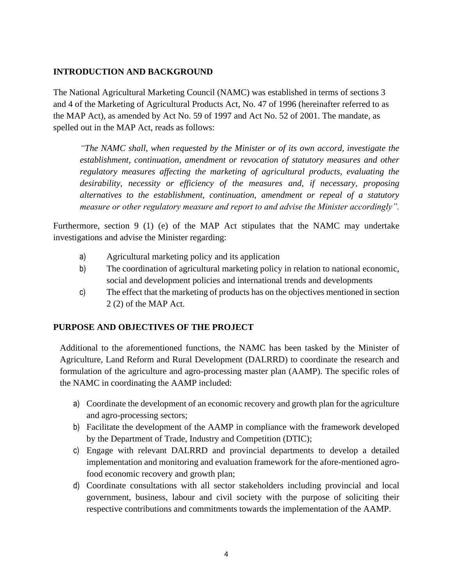## **INTRODUCTION AND BACKGROUND**

The National Agricultural Marketing Council (NAMC) was established in terms of sections 3 and 4 of the Marketing of Agricultural Products Act, No. 47 of 1996 (hereinafter referred to as the MAP Act), as amended by Act No. 59 of 1997 and Act No. 52 of 2001. The mandate, as spelled out in the MAP Act, reads as follows:

*"The NAMC shall, when requested by the Minister or of its own accord, investigate the establishment, continuation, amendment or revocation of statutory measures and other regulatory measures affecting the marketing of agricultural products, evaluating the desirability, necessity or efficiency of the measures and, if necessary, proposing alternatives to the establishment, continuation, amendment or repeal of a statutory measure or other regulatory measure and report to and advise the Minister accordingly".*

Furthermore, section 9 (1) (e) of the MAP Act stipulates that the NAMC may undertake investigations and advise the Minister regarding:

- a) Agricultural marketing policy and its application
- b) The coordination of agricultural marketing policy in relation to national economic, social and development policies and international trends and developments
- c) The effect that the marketing of products has on the objectives mentioned in section 2 (2) of the MAP Act.

## **PURPOSE AND OBJECTIVES OF THE PROJECT**

Additional to the aforementioned functions, the NAMC has been tasked by the Minister of Agriculture, Land Reform and Rural Development (DALRRD) to coordinate the research and formulation of the agriculture and agro-processing master plan (AAMP). The specific roles of the NAMC in coordinating the AAMP included:

- a) Coordinate the development of an economic recovery and growth plan for the agriculture and agro-processing sectors;
- b) Facilitate the development of the AAMP in compliance with the framework developed by the Department of Trade, Industry and Competition (DTIC);
- c) Engage with relevant DALRRD and provincial departments to develop a detailed implementation and monitoring and evaluation framework for the afore-mentioned agrofood economic recovery and growth plan;
- d) Coordinate consultations with all sector stakeholders including provincial and local government, business, labour and civil society with the purpose of soliciting their respective contributions and commitments towards the implementation of the AAMP.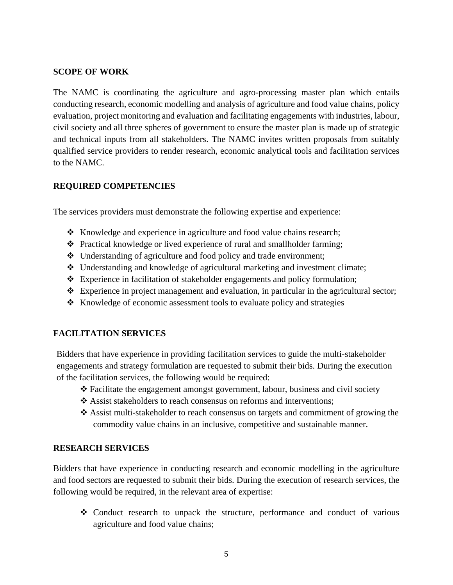## **SCOPE OF WORK**

The NAMC is coordinating the agriculture and agro-processing master plan which entails conducting research, economic modelling and analysis of agriculture and food value chains, policy evaluation, project monitoring and evaluation and facilitating engagements with industries, labour, civil society and all three spheres of government to ensure the master plan is made up of strategic and technical inputs from all stakeholders. The NAMC invites written proposals from suitably qualified service providers to render research, economic analytical tools and facilitation services to the NAMC.

### **REQUIRED COMPETENCIES**

The services providers must demonstrate the following expertise and experience:

- ❖ Knowledge and experience in agriculture and food value chains research;
- ❖ Practical knowledge or lived experience of rural and smallholder farming;
- ❖ Understanding of agriculture and food policy and trade environment;
- ❖ Understanding and knowledge of agricultural marketing and investment climate;
- ❖ Experience in facilitation of stakeholder engagements and policy formulation;
- ❖ Experience in project management and evaluation, in particular in the agricultural sector;
- ❖ Knowledge of economic assessment tools to evaluate policy and strategies

## **FACILITATION SERVICES**

Bidders that have experience in providing facilitation services to guide the multi-stakeholder engagements and strategy formulation are requested to submit their bids. During the execution of the facilitation services, the following would be required:

- ❖ Facilitate the engagement amongst government, labour, business and civil society
- ❖ Assist stakeholders to reach consensus on reforms and interventions;
- ❖ Assist multi-stakeholder to reach consensus on targets and commitment of growing the commodity value chains in an inclusive, competitive and sustainable manner.

### **RESEARCH SERVICES**

Bidders that have experience in conducting research and economic modelling in the agriculture and food sectors are requested to submit their bids. During the execution of research services, the following would be required, in the relevant area of expertise:

❖ Conduct research to unpack the structure, performance and conduct of various agriculture and food value chains;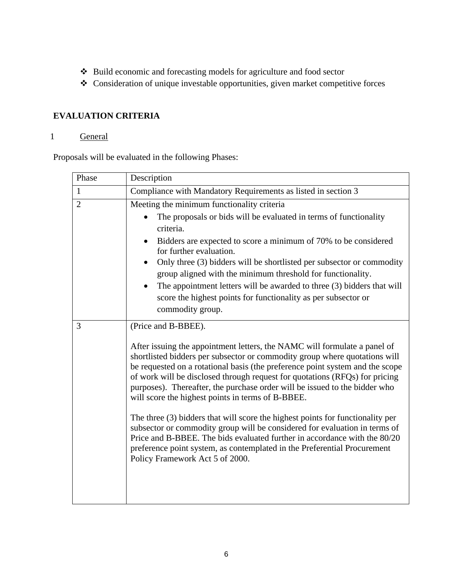- ❖ Build economic and forecasting models for agriculture and food sector
- ❖ Consideration of unique investable opportunities, given market competitive forces

## **EVALUATION CRITERIA**

## 1 General

Proposals will be evaluated in the following Phases:

| Phase          | Description                                                                                                                                                                                                                                                                                                                                                                                                                                                |  |  |  |
|----------------|------------------------------------------------------------------------------------------------------------------------------------------------------------------------------------------------------------------------------------------------------------------------------------------------------------------------------------------------------------------------------------------------------------------------------------------------------------|--|--|--|
| $\mathbf{1}$   | Compliance with Mandatory Requirements as listed in section 3                                                                                                                                                                                                                                                                                                                                                                                              |  |  |  |
| $\overline{2}$ | Meeting the minimum functionality criteria                                                                                                                                                                                                                                                                                                                                                                                                                 |  |  |  |
|                | The proposals or bids will be evaluated in terms of functionality                                                                                                                                                                                                                                                                                                                                                                                          |  |  |  |
|                | criteria.                                                                                                                                                                                                                                                                                                                                                                                                                                                  |  |  |  |
|                | Bidders are expected to score a minimum of 70% to be considered<br>$\bullet$<br>for further evaluation.                                                                                                                                                                                                                                                                                                                                                    |  |  |  |
|                | Only three (3) bidders will be shortlisted per subsector or commodity<br>$\bullet$<br>group aligned with the minimum threshold for functionality.                                                                                                                                                                                                                                                                                                          |  |  |  |
|                | The appointment letters will be awarded to three (3) bidders that will<br>٠                                                                                                                                                                                                                                                                                                                                                                                |  |  |  |
|                | score the highest points for functionality as per subsector or                                                                                                                                                                                                                                                                                                                                                                                             |  |  |  |
|                | commodity group.                                                                                                                                                                                                                                                                                                                                                                                                                                           |  |  |  |
| 3              | (Price and B-BBEE).                                                                                                                                                                                                                                                                                                                                                                                                                                        |  |  |  |
|                | After issuing the appointment letters, the NAMC will formulate a panel of<br>shortlisted bidders per subsector or commodity group where quotations will<br>be requested on a rotational basis (the preference point system and the scope<br>of work will be disclosed through request for quotations (RFQs) for pricing<br>purposes). Thereafter, the purchase order will be issued to the bidder who<br>will score the highest points in terms of B-BBEE. |  |  |  |
|                | The three (3) bidders that will score the highest points for functionality per<br>subsector or commodity group will be considered for evaluation in terms of<br>Price and B-BBEE. The bids evaluated further in accordance with the 80/20<br>preference point system, as contemplated in the Preferential Procurement<br>Policy Framework Act 5 of 2000.                                                                                                   |  |  |  |
|                |                                                                                                                                                                                                                                                                                                                                                                                                                                                            |  |  |  |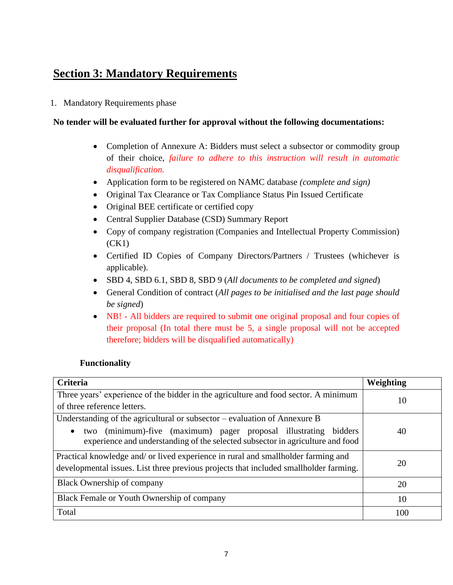# **Section 3: Mandatory Requirements**

1. Mandatory Requirements phase

## **No tender will be evaluated further for approval without the following documentations:**

- Completion of Annexure A: Bidders must select a subsector or commodity group of their choice, *failure to adhere to this instruction will result in automatic disqualification.*
- Application form to be registered on NAMC database *(complete and sign)*
- Original Tax Clearance or Tax Compliance Status Pin Issued Certificate
- Original BEE certificate or certified copy
- Central Supplier Database (CSD) Summary Report
- Copy of company registration (Companies and Intellectual Property Commission) (CK1)
- Certified ID Copies of Company Directors/Partners / Trustees (whichever is applicable).
- SBD 4, SBD 6.1, SBD 8, SBD 9 (*All documents to be completed and signed*)
- General Condition of contract (*All pages to be initialised and the last page should be signed*)
- NB! All bidders are required to submit one original proposal and four copies of their proposal (In total there must be 5, a single proposal will not be accepted therefore; bidders will be disqualified automatically)

## **Functionality**

| Criteria                                                                                                                                           | Weighting |
|----------------------------------------------------------------------------------------------------------------------------------------------------|-----------|
| Three years' experience of the bidder in the agriculture and food sector. A minimum                                                                | 10        |
| of three reference letters.                                                                                                                        |           |
| Understanding of the agricultural or subsector $-$ evaluation of Annexure B                                                                        |           |
| two (minimum)-five (maximum) pager proposal illustrating bidders<br>experience and understanding of the selected subsector in agriculture and food | 40        |
| Practical knowledge and/ or lived experience in rural and smallholder farming and                                                                  |           |
| developmental issues. List three previous projects that included smallholder farming.                                                              | 20        |
| <b>Black Ownership of company</b>                                                                                                                  | 20        |
| Black Female or Youth Ownership of company                                                                                                         | 10        |
| Total                                                                                                                                              | 100       |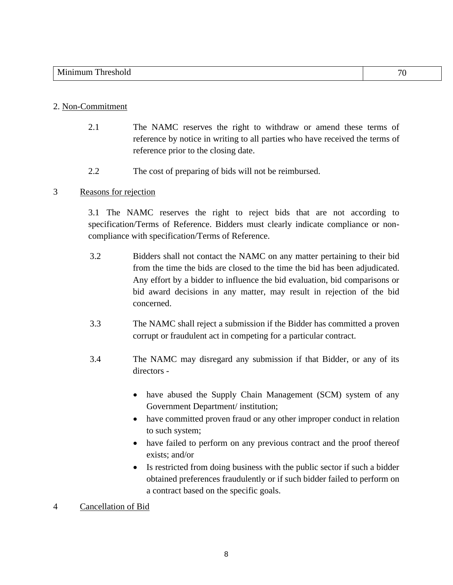- 2.1 The NAMC reserves the right to withdraw or amend these terms of reference by notice in writing to all parties who have received the terms of reference prior to the closing date.
- 2.2 The cost of preparing of bids will not be reimbursed.

#### 3 Reasons for rejection

3.1 The NAMC reserves the right to reject bids that are not according to specification/Terms of Reference. Bidders must clearly indicate compliance or noncompliance with specification/Terms of Reference.

- 3.2 Bidders shall not contact the NAMC on any matter pertaining to their bid from the time the bids are closed to the time the bid has been adjudicated. Any effort by a bidder to influence the bid evaluation, bid comparisons or bid award decisions in any matter, may result in rejection of the bid concerned.
- 3.3 The NAMC shall reject a submission if the Bidder has committed a proven corrupt or fraudulent act in competing for a particular contract.
- 3.4 The NAMC may disregard any submission if that Bidder, or any of its directors -
	- have abused the Supply Chain Management (SCM) system of any Government Department/ institution;
	- have committed proven fraud or any other improper conduct in relation to such system;
	- have failed to perform on any previous contract and the proof thereof exists; and/or
	- Is restricted from doing business with the public sector if such a bidder obtained preferences fraudulently or if such bidder failed to perform on a contract based on the specific goals.

4 Cancellation of Bid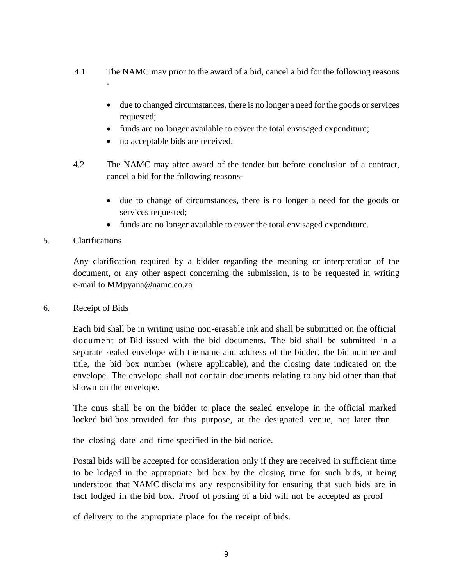- 4.1 The NAMC may prior to the award of a bid, cancel a bid for the following reasons -
	- due to changed circumstances, there is no longer a need for the goods or services requested;
	- funds are no longer available to cover the total envisaged expenditure;
	- no acceptable bids are received.
- 4.2 The NAMC may after award of the tender but before conclusion of a contract, cancel a bid for the following reasons-
	- due to change of circumstances, there is no longer a need for the goods or services requested;
	- funds are no longer available to cover the total envisaged expenditure.

## 5. Clarifications

Any clarification required by a bidder regarding the meaning or interpretation of the document, or any other aspect concerning the submission, is to be requested in writing e-mail to [MMpyana@namc.co.za](mailto:MMpyana@namc.co.za)

### 6. Receipt of Bids

Each bid shall be in writing using non-erasable ink and shall be submitted on the official document of Bid issued with the bid documents. The bid shall be submitted in a separate sealed envelope with the name and address of the bidder, the bid number and title, the bid box number (where applicable), and the closing date indicated on the envelope. The envelope shall not contain documents relating to any bid other than that shown on the envelope.

The onus shall be on the bidder to place the sealed envelope in the official marked locked bid box provided for this purpose, at the designated venue, not later than

the closing date and time specified in the bid notice.

Postal bids will be accepted for consideration only if they are received in sufficient time to be lodged in the appropriate bid box by the closing time for such bids, it being understood that NAMC disclaims any responsibility for ensuring that such bids are in fact lodged in the bid box. Proof of posting of a bid will not be accepted as proof

of delivery to the appropriate place for the receipt of bids.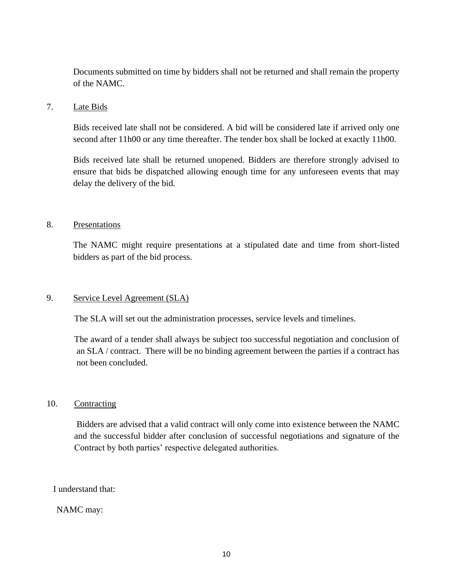Documents submitted on time by bidders shall not be returned and shall remain the property of the NAMC.

#### 7. Late Bids

Bids received late shall not be considered. A bid will be considered late if arrived only one second after 11h00 or any time thereafter. The tender box shall be locked at exactly 11h00.

Bids received late shall be returned unopened. Bidders are therefore strongly advised to ensure that bids be dispatched allowing enough time for any unforeseen events that may delay the delivery of the bid.

### 8. Presentations

The NAMC might require presentations at a stipulated date and time from short-listed bidders as part of the bid process.

### 9. Service Level Agreement (SLA)

The SLA will set out the administration processes, service levels and timelines.

The award of a tender shall always be subject too successful negotiation and conclusion of an SLA / contract. There will be no binding agreement between the parties if a contract has not been concluded.

### 10. Contracting

Bidders are advised that a valid contract will only come into existence between the NAMC and the successful bidder after conclusion of successful negotiations and signature of the Contract by both parties' respective delegated authorities.

### I understand that:

### NAMC may: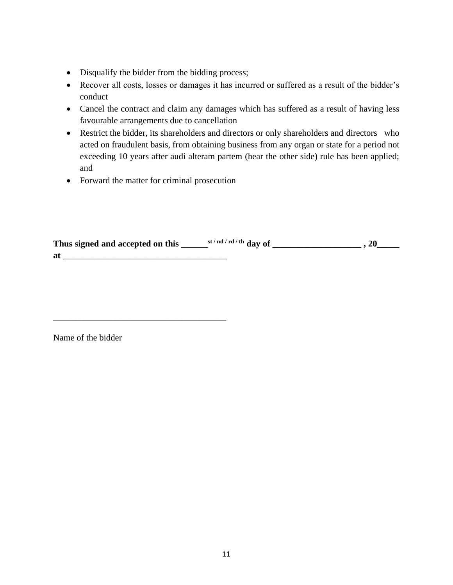- Disqualify the bidder from the bidding process;
- Recover all costs, losses or damages it has incurred or suffered as a result of the bidder's conduct
- Cancel the contract and claim any damages which has suffered as a result of having less favourable arrangements due to cancellation
- Restrict the bidder, its shareholders and directors or only shareholders and directors who acted on fraudulent basis, from obtaining business from any organ or state for a period not exceeding 10 years after audi alteram partem (hear the other side) rule has been applied; and
- Forward the matter for criminal prosecution

\_\_\_\_\_\_\_\_\_\_\_\_\_\_\_\_\_\_\_\_\_\_\_\_\_\_\_\_\_\_\_\_\_\_\_\_\_\_\_

| Thus signed and accepted on this | st / nd / rd / th day of |  |
|----------------------------------|--------------------------|--|
| at                               |                          |  |

Name of the bidder